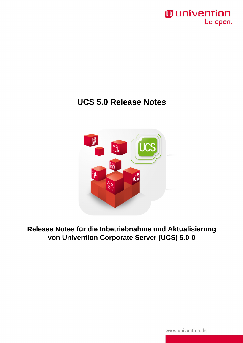

### **UCS 5.0 Release Notes**



**Release Notes für die Inbetriebnahme und Aktualisierung von Univention Corporate Server (UCS) 5.0-0**

www.univention.de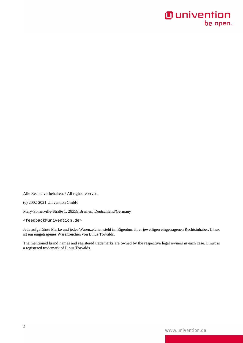Alle Rechte vorbehalten. / All rights reserved.

(c) 2002-2021 Univention GmbH

Mary-Somerville-Straße 1, 28359 Bremen, Deutschland/Germany

<[feedback@univention.de>](mailto:feedback@univention.de)

Jede aufgeführte Marke und jedes Warenzeichen steht im Eigentum ihrer jeweiligen eingetragenen Rechtsinhaber. Linux ist ein eingetragenes Warenzeichen von Linus Torvalds.

The mentioned brand names and registered trademarks are owned by the respective legal owners in each case. Linux is a registered trademark of Linus Torvalds.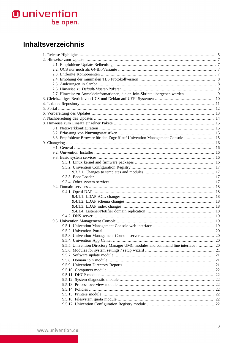### Inhaltsverzeichnis

| 8.3. Empfohlene Browser für den Zugriff auf Univention Management Console  15  |  |
|--------------------------------------------------------------------------------|--|
|                                                                                |  |
|                                                                                |  |
|                                                                                |  |
|                                                                                |  |
|                                                                                |  |
|                                                                                |  |
|                                                                                |  |
|                                                                                |  |
|                                                                                |  |
|                                                                                |  |
|                                                                                |  |
|                                                                                |  |
|                                                                                |  |
|                                                                                |  |
|                                                                                |  |
|                                                                                |  |
|                                                                                |  |
|                                                                                |  |
|                                                                                |  |
|                                                                                |  |
|                                                                                |  |
| 9.5.5. Univention Directory Manager UMC modules and command line interface  20 |  |
|                                                                                |  |
|                                                                                |  |
|                                                                                |  |
|                                                                                |  |
|                                                                                |  |
|                                                                                |  |
|                                                                                |  |
|                                                                                |  |
|                                                                                |  |
|                                                                                |  |
|                                                                                |  |
|                                                                                |  |
|                                                                                |  |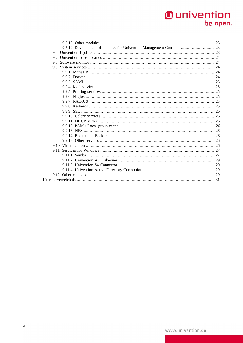| 9.5.19. Development of modules for Univention Management Console  23 |  |
|----------------------------------------------------------------------|--|
|                                                                      |  |
|                                                                      |  |
|                                                                      |  |
|                                                                      |  |
|                                                                      |  |
|                                                                      |  |
|                                                                      |  |
|                                                                      |  |
|                                                                      |  |
|                                                                      |  |
|                                                                      |  |
|                                                                      |  |
|                                                                      |  |
|                                                                      |  |
|                                                                      |  |
|                                                                      |  |
|                                                                      |  |
|                                                                      |  |
|                                                                      |  |
|                                                                      |  |
|                                                                      |  |
|                                                                      |  |
|                                                                      |  |
|                                                                      |  |
|                                                                      |  |
|                                                                      |  |
|                                                                      |  |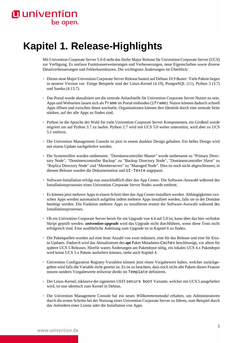# <span id="page-4-0"></span>**Kapitel 1. Release-Highlights**

Mit Univention Corporate Server 5.0-0 steht das fünfte Major Release für Univention Corporate Server (UCS) zur Verfügung. Es umfasst Funktionserweiterungen und Verbesserungen, neue Eigenschaften sowie diverse Detailverbesserungen und Fehlerkorrekturen. Die wichtigsten Änderungen im Überblick:

- Dieses neue Major Univention Corporate Server Release basiert auf Debian 10.9 *Buster*. Viele Pakete liegen in neuerer Version vor. Einige Beispiele sind der Linux-Kernel (4.19), PostgreSQL (11), Python 3 (3.7) und Samba (4.13.7).
- Das Portal wurde aktualisiert um die zentrale Anlaufstelle für Univention Corporate Server Nutzer zu sein. Apps und Webseiten lassen sich als frame im Portal einbinden (iframe). Nutzer können dadurch schnell Apps öffnen und zwischen ihnen wechseln. Organisationen können ihre Identität durch eine zentrale Seite stärken, auf der alle Apps zu finden sind.
- Python ist die Sprache der Wahl für viele Univention Corporate Server Komponenten, ein Großteil wurde migriert um auf Python 3.7 zu laufen. Python 2.7 wird mit UCS 5.0 weiter unterstützt, wird aber zu UCS 5.1 entfernt.
- Die Univention Management Console ist jetzt in einem dunklen Design gehalten. Ein helles Design wird mit einem Update nachgeliefert werden.
- Die Systemrollen wurden umbenannt. "Domänencontroller Master" wurde umbenannt zu "Primary Directory Node", "Domänencontroller Backup" zu "Backup Directory Node", "Domänencontroller Slave" zu "Replica Directory Node" und "Memberserver" zu "Managed Node". Dies ist noch nicht abgeschlossen, in diesem Release wurden die Dokumentation und UI-Texte angepasst.
- Software-Installation erfolgt nun ausschließlich über das App Center. Die Software-Auswahl während des Installationsprozesses eines Univention Corporate Server Nodes wurde entfernt.
- Es können jetzt mehrere Apps in einem Schritt über das App Center installiert werden. Abhängigkeiten zwischen Apps werden automatisch aufgelöst indem mehrere Apps installiert werden, falls sie in der Domäne benötigt werden. Die Funktion mehrere Apps zu installieren ersetzt die Software-Auswahl während des Installationsprozesses.
- Ob ein Univention Corporate Server bereit für ein Upgrade von 4.4 auf 5.0 ist, kann über das hier verlinkte [Skript](https://updates.software-univention.de/download/univention-update-checks/pre-update-checks-5.0-0) geprüft werden. *univention-upgrade* wird das Upgrade nicht durchführen, wenn diese Tests nicht erfolgreich sind. Eine ausführliche Anleitung zum Upgrade ist in [Kapitel 6](#page-12-0) zu finden.
- Die Paketquellen wurden auf eine feste Anzahl von zwei reduziert, eine für das Release und eine für Errata-Updates. Dadurch wird das Aktualisieren des *apt* Paket Metadaten-Caches beschleunigt, vor allem für spätere UCS 5 Releases. Hierfür waren Änderungen am Paketdepot nötig, ein lokales UCS 4.x Paketdepot wird keine UCS 5.x Pakete ausliefern können, siehe auch [Kapitel 4.](#page-10-0)
- Univention Configuration Registry-Variablen können jetzt einen Vorgabewert haben, welcher zurückgegeben wird falls die Variable nicht gesetzt ist. Es ist zu beachten, dass noch nicht alle Pakete dieses Feature nutzen sondern Vorgabewerte teilweise direkt im Template definieren.
- Der Linux-Kernel, inklusive der signierten UEFI secure boot Variante, welcher mit UCS 5 ausgeliefert wird, ist nun identisch zum Kernel in Debian.
- Die Univention Management Console hat ein neues *Willkommensmodul* erhalten, um Administratoren durch die ersten Schritte bei der Nutzung eines Univention Corporate Server zu führen, zum Beispiel durch das Anfordern einer Lizenz oder die Installation von Apps.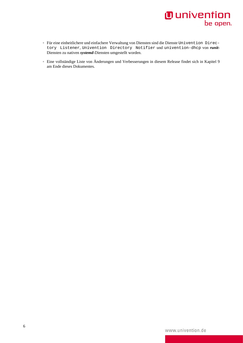- Für eine einheitlichere und einfachere Verwaltung von Diensten sind die Dienste Univention Directory Listener, Univention Directory Notifier und univention-dhcp von *runit*-Diensten zu nativen *systemd*-Diensten umgestellt worden.
- Eine vollständige Liste von Änderungen und Verbesserungen in diesem Release findet sich in [Kapitel 9](#page-15-0) am Ende dieses Dokumentes.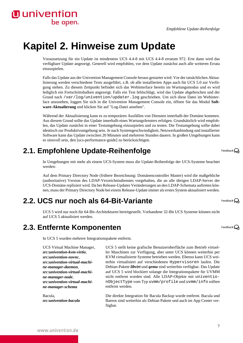# <span id="page-6-0"></span>**Kapitel 2. Hinweise zum Update**

Voraussetzung für ein Update ist mindestens UCS 4.4-8 mit [UCS 4.4-8 erratum 972](https://errata.software-univention.de/#/?erratum=4.4x972). Erst dann wird das verfügbare Update angezeigt. Generell wird empfohlen, vor dem Update zunächst auch alle weiteren Errata einzuspielen.

Falls das Update aus der Univention Management Console heraus gestartet wird: Vor der tatsächlichen Aktualisierung werden verschiedene Tests ausgeführt, z.B. ob alle installierten Apps auch für UCS 5.0 zur Verfügung stehen. Zu diesem Zeitpunkt befindet sich das Webinterface bereits im Wartungsmodus und es wird lediglich ein Fortschrittsbalken angezeigt. Falls ein Test fehlschlägt, wird das Update abgebrochen und der Grund nach /var/log/univention/updater.log geschrieben. Um sich diese Datei im Webinterface anzusehen, loggen Sie sich in die Univention Management Console ein, öffnen Sie das Modul **Software-Aktualierung** und klicken Sie auf "Log-Datei ansehen".

Während der Aktualisierung kann es zu temporären Ausfällen von Diensten innerhalb der Domäne kommen. Aus diesem Grund sollte das Update innerhalb eines Wartungsfensters erfolgen. Grundsätzlich wird empfohlen, das Update zunächst in einer Testumgebung einzuspielen und zu testen. Die Testumgebung sollte dabei identisch zur Produktivumgebung sein. Je nach Systemgeschwindigkeit, Netzwerkanbindung und installierter Software kann das Update zwischen 20 Minuten und mehreren Stunden dauern. In großen Umgebungen kann es sinnvoll sein, den [[ucs-performance-guide](#page-30-1)] zu berücksichtigen.

### <span id="page-6-1"></span>**2.1. Empfohlene Update-Reihenfolge**

In Umgebungen mit mehr als einem UCS-System muss die Update-Reihenfolge der UCS-Systeme beachtet werden:

Auf dem Primary Directory Node (frühere Bezeichnung: Domänencontroller Master) wird die maßgebliche (authoritative) Version des LDAP-Verzeichnisdienstes vorgehalten, die an alle übrigen LDAP-Server der UCS-Domäne repliziert wird. Da bei Release-Updates Veränderungen an den LDAP-Schemata auftreten können, muss der Primary Directory Node bei einem Release-Update immer als erstes System aktualisiert werden.

### <span id="page-6-2"></span>**2.2. UCS nur noch als 64-Bit-Variante**

UCS 5 wird nur noch für 64-Bit-Architekturen bereitgestellt. Vorhandene 32-Bit UCS Systeme können nicht auf UCS 5 aktualisiert werden.

### <span id="page-6-3"></span>**2.3. Entfernte Komponenten**

In UCS 5 wurden mehrere Integrationspakete entfernt.

UCS Virtual Machine Manager, *src:univention-kvm-virtio*, *src:univention-novnc*, *src:univention-virtual-machine-manager-daemon*, *src:univention-virtual-machine-manager-node*, *src:univention-virtual-machine-manager-schema*

Bacula, *src:univention-bacula* UCS 5 stellt keine grafische Benutzeroberfläche zum Betrieb virtueller Maschinen zur Verfügung, aber unter UCS können weiterhin per KVM virtualisierte Systeme betrieben werden. Ebenso kann UCS weiterhin virtualisiert auf verschiedenen Hypervisoren laufen. Die Debian-Pakete *libvirt* und *qemu* sind weiterhin verfügbar. Das Update auf UCS 5 wird blockiert solange die Integrationspakete für UVMM nicht entfernt worden sind. Alle LDAP-Objekte mit univentionObjectType vom Typ uvmm/profile und uvmm/info sollten entfernt werden.

Die direkte Integration für Bacula Backup wurde entfernt. Bacula und Bareos sind weiterhin als Debian Pakete und auch im App Center verfügbar.

Feedback $\Omega$ 

Feedback $\mathbf{\Omega}$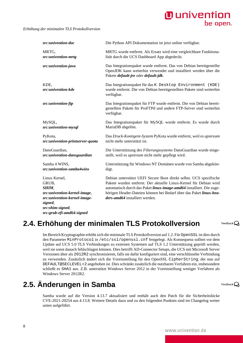*Erhöhung der minimalen TLS Protokollversion*

| src:univention-doc                                                                                                             | Die Python API Dokumentation ist jetzt online verfügbar.                                                                                                                                                                                                                                                                |
|--------------------------------------------------------------------------------------------------------------------------------|-------------------------------------------------------------------------------------------------------------------------------------------------------------------------------------------------------------------------------------------------------------------------------------------------------------------------|
| MRTG,<br>src:univention-mrtg                                                                                                   | MRTG wurde entfernt. Als Ersatz wird eine vergleichbare Funktiona-<br>lität durch die UCS Dashboard App abgedeckt.                                                                                                                                                                                                      |
| src:univention-java                                                                                                            | Das Integrationspaket wurde entfernt. Das von Debian bereitgestellte<br>OpenJDK kann weiterhin verwendet und installiert werden über die<br>Pakete default-jre oder default-jdk.                                                                                                                                        |
| KDE,<br>src:univention-kde                                                                                                     | Das Integrationspaket für das K Desktop Environment (KDE)<br>wurde entfernt. Die von Debian bereitgestellten Pakete sind weiterhin<br>verfügbar.                                                                                                                                                                        |
| src:univention-ftp                                                                                                             | Das Integrationspaket für FTP wurde entfernt. Die von Debian bereit-<br>gestellten Pakete für ProFTPd und andere FTP-Server sind weiterhin<br>verfügbar.                                                                                                                                                                |
| MySQL,<br>src:univention-mysql                                                                                                 | Das Integrationspaket für MySQL wurde entfernt. Es wurde durch<br>MariaDB abgelöst.                                                                                                                                                                                                                                     |
| PyKota,<br>src:univention-printserver-quota                                                                                    | Das Druck-Kontigent-System PyKota wurde entfernt, weil es upstream<br>nicht mehr unterstützt ist.                                                                                                                                                                                                                       |
| DansGuardian,<br>src:univention-dansguardian                                                                                   | Die Unterstützung des Filterungssystems DansGuardian wurde einge-<br>stellt, weil es upstream nicht mehr gepflegt wird.                                                                                                                                                                                                 |
| Samba 4 WINS,<br>src:univention-samba4wins                                                                                     | Unterstützung für Windows NT Domänen wurde von Samba abgekün-<br>digt.                                                                                                                                                                                                                                                  |
| Linux Kernel,<br>GRUB,<br>SHIM,<br>src:univention-kernel-image,<br>src:univention-kernel-image-<br>signed,<br>src:shim-signed, | Debian unterstützt UEFI Secure Boot direkt selbst. UCS spezifische<br>Pakete wurden entfernt. Der aktuelle Linux-Kernel für Debian wird<br>automatisch durch das Paket linux-image-amd64 installiert. Die zuge-<br>hörigen Header-Dateien können bei Bedarf über das Paket linux-hea-<br>ders-amd64 installiert werden. |
| src:grub-efi-amd64-signed                                                                                                      |                                                                                                                                                                                                                                                                                                                         |

### <span id="page-7-0"></span>**2.4. Erhöhung der minimalen TLS Protokollversion**

Im Bereich Kryptographie erhöht sich die minimale TLS Protokollversion auf 1.2. Für OpenSSL ist dies durch den Parameter MinProtocol in /etc/ssl/openssl.cnf festgelegt. Als Konsequenz sollten vor dem Update auf UCS 5.0 TLS Verbindungen zu externen Systemen auf TLS 1.2 Unterstützung geprüft werden, weil sie sonst danach fehlschlagen können. Dies betrifft AD-Connector Setups, die UCS mit Microsoft Server Versionen älter als 2012R2 synchronisieren, falls sie dafür konfiguriert sind, eine verschlüsselte Verbindung zu verwenden. Zusätzlich ändert sich die Voreinstellung für den OpenSSL CipherString, der nun auf DEFAULT@SECLEVEL=2 angehoben ist. Dies schränkt zusätzlich die nutzbaren Verfahren ein, insbesondere schließt es SHA1 aus. Z.B. unterstützt Windows Server 2012 in der Voreinstellung weniger Verfahren als Windows Server 2012R2.

## <span id="page-7-1"></span>**2.5. Änderungen in Samba**

Samba wurde auf die Version 4.13.7 aktualisiert und enthält auch den Patch für die Sicherheitslücke CVE-2021-20254 aus 4.13.8. Weitere Details dazu und zu den folgenden Punkten sind im Changelog weiter unten aufgeführt.

Feedback $\Omega$ 

Feedback $\Omega$ 

### **O** univention be open.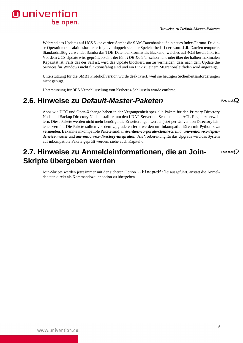Während des Updates auf UCS 5 konvertiert Samba die SAM-Datenbank auf ein neues Index-Format. Da diese Operation transaktionsbasiert erfolgt, verdoppelt sich der Speicherbedarf der sam.ldb Dateien temporär. Standardmäßig verwendet Samba das TDB Datenbankformat als Backend, welches auf 4GB beschränkt ist. Vor dem UCS Update wird geprüft, ob eine der fünf *TDB-Dateien* schon nahe oder über der halben maximalen Kapazität ist. Falls das der Fall ist, wird das Update blockiert, um zu vermeiden, dass nach dem Update die Services für Windows nicht funktionsfähig sind und ein Link zu einem Migrationsleitfaden wird angezeigt.

Unterstützung für die SMB1 Protokollversion wurde deaktiviert, weil sie heutigen Sicherheitsanforderungen nicht genügt.

Unterstützung für DES Verschlüsselung von Kerberos-Schlüsseln wurde entfernt.

### <span id="page-8-0"></span>**2.6. Hinweise zu Default-Master-Paketen**

Apps wie UCC und Open-Xchange haben in der Vergangenheit spezielle Pakete für den Primary Directory Node und Backup Directory Node installiert um den LDAP-Server um Schemata und ACL-Regeln zu erweitern. Diese Pakete werden nicht mehr benötigt, die Erweiterungen werden jetzt per Univention Directory Listener verteilt. Die Pakete sollten vor dem Upgrade entfernt werden um Inkompatibilitäten mit Python 3 zu vermeiden. Bekannte inkompatible Pakete sind: *univention-corporate-client-schema*, *univention-ox-dependencies-master* und *univention-ox-directory-integration*. Als Vorbereitung für das Upgrade wird das System auf inkompatible Pakete geprüft werden, siehe auch [Kapitel 6.](#page-12-0)

### <span id="page-8-1"></span>**2.7. Hinweise zu Anmeldeinformationen, die an Join-Skripte übergeben werden**

Join-Skripte werden jetzt immer mit der sicheren Option --bindpwdfile ausgeführt, anstatt die Anmeldedaten direkt als Kommandozeilenoption zu übergeben.

9

Feedback $\Omega$ 

Feedback $\mathbf{Q}$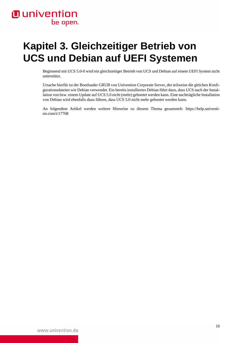# <span id="page-9-0"></span>**Kapitel 3. Gleichzeitiger Betrieb von UCS und Debian auf UEFI Systemen**

Beginnend mit UCS 5.0-0 wird ein gleichzeitiger Betrieb von UCS und Debian auf einem UEFI System nicht unterstützt.

Ursache hierfür ist der Bootloader GRUB von Univention Corporate Server, der teilweise die gleichen Konfigurationsdateien wie Debian verwendet. Ein bereits installiertes Debian führt dazu, dass UCS nach der Installation von bzw. einem Update auf UCS 5.0 nicht (mehr) gebootet werden kann. Eine nachträgliche Installation von Debian wird ebenfalls dazu führen, dass UCS 5.0 nicht mehr gebootet werden kann.

An folgendem Artikel werden weitere Hinweise zu diesem Thema gesammelt: [https://help.univenti](https://help.univention.com/t/17768)[on.com/t/17768](https://help.univention.com/t/17768)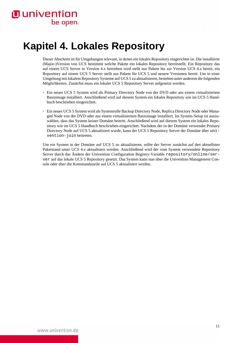# <span id="page-10-0"></span>**Kapitel 4. Lokales Repository**

Dieser Abschnitt ist für Umgebungen relevant, in denen ein [lokales Repository](https://docs.software-univention.de/handbuch-4.4.html#software::createrepo) eingerichtet ist. Die installierte (Major-)Version von UCS bestimmt welche Pakete ein lokales Repository bereitstellt. Ein Repository das auf einem UCS Server in Version 4.x betrieben wird stellt nur Pakete bis zur Version UCS 4.x bereit, ein Repository auf einem UCS 5 Server stellt nur Pakete für UCS 5 und neuere Versionen bereit. Um in einer Umgebung mit lokalem Repository Systeme auf UCS 5 zu aktualisieren, bestehen unter anderem die folgenden Möglichkeiten. Zunächst muss ein lokaler UCS 5 Repository Server aufgesetzt werden.

- Ein neues UCS 5 System wird als Primary Directory Node von der DVD oder aus einem virtualisiertem Basisimage installiert. Anschließend wird [auf diesem System ein lokales Repository wie im UCS 5 Hand](https://docs.software-univention.de/handbuch-5.0.html#software::createrepo)[buch beschrieben](https://docs.software-univention.de/handbuch-5.0.html#software::createrepo) eingerichtet.
- Ein neues UCS 5 System wird als Systemrolle Backup Directory Node, Replica Directory Node oder Managed Node von der DVD oder aus einem virtualisiertem Basisimage installiert. Im System-Setup ist auszuwählen, dass das System keiner Domäne beitritt. Anschließend wird [auf diesem System ein lokales Repo](https://docs.software-univention.de/handbuch-5.0.html#software::createrepo)[sitory wie im UCS 5 Handbuch beschrieben](https://docs.software-univention.de/handbuch-5.0.html#software::createrepo) eingerichtet. Nachdem der in der Domäne verwendet Primary Directory Node auf UCS 5 aktualisiert wurde, kann der UCS 5 Repository Server der Domäne über univention-join beitreten.

Um ein System in der Domäne auf UCS 5 zu aktualisieren, sollte der Server zunächst auf den aktuellsten Paketstand unter UCS 4.x aktualisiert werden. Anschließend wird der vom System verwendete Repository Server durch das Ändern der Univention Configuration Registry-Variable repository/online/server auf das lokale UCS 5 Repository gesetzt. Das System kann nun über die Univention Management Console oder über die Kommandozeile auf UCS 5 aktualisiert werden.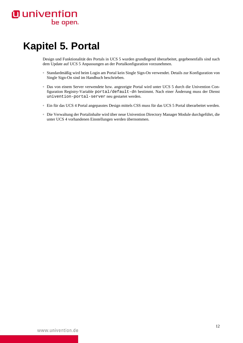# <span id="page-11-0"></span>**Kapitel 5. Portal**

Design und Funktionalität des Portals in UCS 5 wurden grundlegend überarbeitet, gegebenenfalls sind nach dem Update auf UCS 5 Anpassungen an der Portalkonfiguration vorzunehmen.

- Standardmäßig wird beim Login am Portal kein Single Sign-On verwendet. Details zur Konfiguration von Single Sign-On sind [im Handbuch](https://docs.software-univention.de/handbuch-5.0.html#central-management-umc:login) beschrieben.
- Das von einem Server verwendete bzw. angezeigte Portal wird unter UCS 5 durch die Univention Configuration Registry-Variable portal/default-dn bestimmt. Nach einer Änderung muss der Dienst univention-portal-server neu gestartet werden.
- Ein für das UCS 4 Portal angepasstes Design mittels CSS muss [für das UCS 5 Portal überarbeitet](https://docs.software-univention.de/handbuch-5.0.html#central:theming) werden.
- Die Verwaltung der Portalinhalte wird über [neue Univention Directory Manager Module](https://docs.software-univention.de/handbuch-5.0.html#central:portal) durchgeführt, die unter UCS 4 vorhandenen Einstellungen werden übernommen.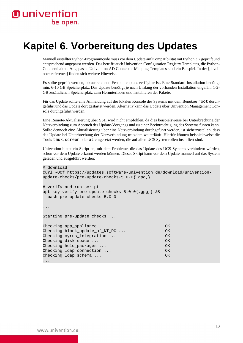## <span id="page-12-0"></span>**Kapitel 6. Vorbereitung des Updates**

Manuell erstellter Python-Programmcode muss vor dem Update auf Kompatibilität mit Python 3.7 geprüft und entsprechend angepasst werden. Das betrifft auch Univention Configuration Registry Templates, die Python-Code enthalten. Angepasste Univention AD Connector Mapping Templates sind ein Beispiel. In der [[devel](#page-30-2)[oper-reference\]](#page-30-2) finden sich weitere Hinweise.

Es sollte geprüft werden, ob ausreichend Festplattenplatz verfügbar ist. Eine Standard-Installation benötigt min. 6-10 GB Speicherplatz. Das Update benötigt je nach Umfang der vorhanden Installation ungefähr 1-2- GB zusätzlichen Speicherplatz zum Herunterladen und Installieren der Pakete.

Für das Update sollte eine Anmeldung auf der lokalen Konsole des Systems mit dem Benutzer root durchgeführt und das Update dort gestartet werden. Alternativ kann das Update über Univention Management Console durchgeführt werden.

Eine Remote-Aktualisierung über SSH wird nicht empfohlen, da dies beispielsweise bei Unterbrechung der Netzverbindung zum Abbruch des Update-Vorgangs und zu einer Beeinträchtigung des Systems führen kann. Sollte dennoch eine Aktualisierung über eine Netzverbindung durchgeführt werden, ist sicherzustellen, dass das Update bei Unterbrechung der Netzverbindung trotzdem weiterläuft. Hierfür können beispielsweise die Tools tmux, screen oder at eingesetzt werden, die auf allen UCS Systemrollen installiert sind.

Univention bietet ein Skript an, mit dem Probleme, die das Update des UCS Systems verhindern würden, schon vor dem Update erkannt werden können. Dieses Skript kann vor dem Update manuell auf das System geladen und ausgeführt werden:

```
# download
curl -OOf https://updates.software-univention.de/download/univention-
update-checks/pre-update-checks-5.0-0{.gpg,}
# verify and run script
apt-key verify pre-update-checks-5.0-0{.gpg,} &&
  bash pre-update-checks-5.0-0
...
Starting pre-update checks ...
Checking app appliance ... OK
Checking block_update_of_NT_DC ... OK
Checking cyrus_integration ... OK
Checking disk_space ... OK
Checking hold packages ... OK
Checking ldap_connection ... OK
Checking ldap_schema ... OK
...
```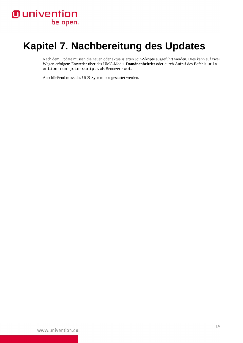# <span id="page-13-0"></span>**Kapitel 7. Nachbereitung des Updates**

Nach dem Update müssen die neuen oder aktualisierten Join-Skripte ausgeführt werden. Dies kann auf zwei Wegen erfolgen: Entweder über das UMC-Modul **Domänenbeitritt** oder durch Aufruf des Befehls univention-run-join-scripts als Benutzer root.

Anschließend muss das UCS-System neu gestartet werden.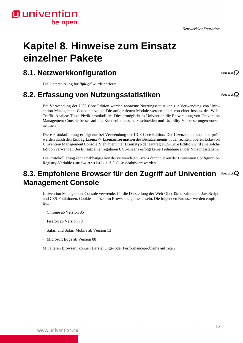*Netzwerkkonfiguration*

**O** univention

## <span id="page-14-0"></span>**Kapitel 8. Hinweise zum Einsatz einzelner Pakete**

### <span id="page-14-1"></span>**8.1. Netzwerkkonfiguration**

Die Unterstützung für *ifplugd* wurde entfernt.

### <span id="page-14-2"></span>**8.2. Erfassung von Nutzungsstatistiken**

Bei Verwendung der UCS Core Edition werden anonyme Nutzungsstatistiken zur Verwendung von Univention Management Console erzeugt. Die aufgerufenen Module werden dabei von einer Instanz des Web-Traffic-Analyse-Tools Piwik protokolliert. Dies ermöglicht es Univention die Entwicklung von Univention Management Console besser auf das Kundeninteresse zuzuschneiden und Usability-Verbesserungen vorzunehmen.

Diese Protokollierung erfolgt nur bei Verwendung der UCS Core Edition. Der Lizenzstatus kann überprüft werden durch den Eintrag **Lizenz -> Lizenzinformation** des Benutzermenüs in der rechten, oberen Ecke von Univention Management Console. Steht hier unter **Lizenztyp** der Eintrag **UCS Core Edition** wird eine solche Edition verwendet. Bei Einsatz einer regulären UCS-Lizenz erfolgt keine Teilnahme an der Nutzungsstatistik.

Die Protokollierung kann unabhängig von der verwendeten Lizenz durch Setzen der Univention Configuration Registry-Variable umc/web/piwik auf false deaktiviert werden.

#### <span id="page-14-3"></span>**8.3. Empfohlene Browser für den Zugriff auf Univention** Feedback $\Omega$ **Management Console**

Univention Management Console verwendet für die Darstellung der Web-Oberfläche zahlreiche JavaScriptund CSS-Funktionen. Cookies müssen im Browser zugelassen sein. Die folgenden Browser werden empfohlen:

- Chrome ab Version 85
- Firefox ab Version 78
- Safari und Safari Mobile ab Version 13
- Microsoft Edge ab Version 88

Mit älteren Browsern können Darstellungs- oder Performanceprobleme auftreten.

www.univention.de

Feedback $\mathbf{\Omega}$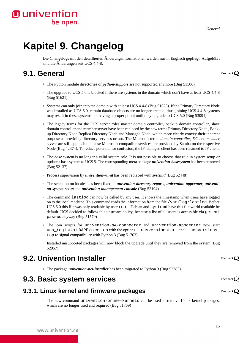*General*

# <span id="page-15-0"></span>**Kapitel 9. Changelog**

Die Changelogs mit den detaillierten Änderungsinformationen werden nur in Englisch gepflegt. Aufgeführt sind die Änderungen seit UCS 4.4-8:

### <span id="page-15-1"></span>**9.1. General**

- The Python module directories of *python-support* are not supported anymore ([Bug 51506\)](https://forge.univention.org/bugzilla/show_bug.cgi?id=51506)
- The upgrade to UCS 5.0 is blocked if there are systems in the domain which don't have at least UCS 4.4-8 [\(Bug 51621](https://forge.univention.org/bugzilla/show_bug.cgi?id=51621))
- Systems can only join into the domain with at least UCS 4.4-8 ([Bug 51625\)](https://forge.univention.org/bugzilla/show_bug.cgi?id=51625). If the Primary Directory Node was installed as UCS 5.0, certain database objects are no longer created; thus, joining UCS 4.4-8 systems may result in these systems not having a proper portal until they upgrade to UCS 5.0 ([Bug 53091](https://forge.univention.org/bugzilla/show_bug.cgi?id=53091))
- The legacy terms for the UCS server roles master domain controller, backup domain controller, slave domain controller and member server have been replaced by the new terms Primary Directory Node , Backup Directory Node Replica Directory Node and Managed Node, which more clearly convey their inherent purpose as providing directory services or not. The Microsoft terms *domain controller*, *DC* and *member server* are still applicable in case Microsoft compatible services are provided by Samba on the respective Node ([Bug 42374\)](https://forge.univention.org/bugzilla/show_bug.cgi?id=42374). To reduce potential for confusion, the IP managed client has been renamed to IP client.
- The *base system* is no longer a valid system role. It is not possible to choose that role in system setup or update a base system to UCS 5. The corresponding meta package *univention-basesystem* has been removed [\(Bug 52137](https://forge.univention.org/bugzilla/show_bug.cgi?id=52137))
- Process supervision by *univention-runit* has been replaced with *systemd* ([Bug 52448\)](https://forge.univention.org/bugzilla/show_bug.cgi?id=52448)
- The selection on locales has been fixed in *univention-directory-reports*, *univention-appcenter*, *univention-system-setup* and *univention-management-console* ([Bug 52194\)](https://forge.univention.org/bugzilla/show_bug.cgi?id=52194)
- The command lastlog can now be called by any user. It shows the timestamp when users have logged on to the local machine. This command reads the information from the file /var/log/lastlog. Before UCS 5.0 this file was only readable by user root. Debian and systemd have this file world readable be default. UCS decided to follow this upstream policy, because a list of all users is accessible via getent passwd anyway [\(Bug 51579](https://forge.univention.org/bugzilla/show_bug.cgi?id=51579))
- The join scripts for univention-s4-connector and univention-appcenter now start ucs registerLDAPExtension with the options --ucsversionstart and --ucsversionstop to signal compatibility with Python 3 ([Bug 51763\)](https://forge.univention.org/bugzilla/show_bug.cgi?id=51763)
- Installed unsupported packages will now block the upgrade until they are removed from the system ([Bug](https://forge.univention.org/bugzilla/show_bug.cgi?id=52957) [52957\)](https://forge.univention.org/bugzilla/show_bug.cgi?id=52957)

### <span id="page-15-2"></span>**9.2. Univention Installer**

www.univention.de

◦ The package *univention-net-installer* has been migrated to Python 3 ([Bug 52283\)](https://forge.univention.org/bugzilla/show_bug.cgi?id=52283)

### <span id="page-15-3"></span>**9.3. Basic system services**

#### <span id="page-15-4"></span>**9.3.1. Linux kernel and firmware packages**

◦ The new command univention-prune-kernels can be used to remove Linux kernel packages, which are no longer used and required ([Bug 51769\)](https://forge.univention.org/bugzilla/show_bug.cgi?id=51769)

Feedback $\Omega$ 

Feedback $\bigcirc$ 

Feedback $\mathbf{\Omega}$ 

16

### **O** univention be open.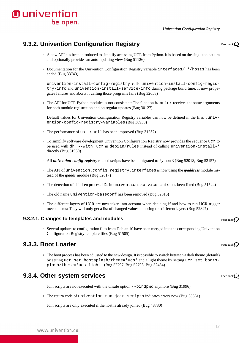*Univention Configuration Registry*

### <span id="page-16-0"></span>**9.3.2. Univention Configuration Registry**

- A new API has been introduced to simplify accessing UCR from Python. It is based on the singleton pattern and optionally provides an auto-updating view ([Bug 51126](https://forge.univention.org/bugzilla/show_bug.cgi?id=51126))
- Documentation for the Univention Configuration Registry variable interfaces/.\*/hosts has been added [\(Bug 33743\)](https://forge.univention.org/bugzilla/show_bug.cgi?id=33743)
- univention-install-config-registry calls univention-install-config-registry-info and univention-install-service-info during package build time. It now propagates failures and aborts if calling those programs fails [\(Bug 32658\)](https://forge.univention.org/bugzilla/show_bug.cgi?id=32658)
- The API for UCR Python modules is not consistent: The function handler receives the same arguments for both module registration and on regular updates [\(Bug 30127](https://forge.univention.org/bugzilla/show_bug.cgi?id=30127))
- Default values for Univention Configuration Registry variables can now be defined in the files .univention-config-registry-variables ([Bug 38938\)](https://forge.univention.org/bugzilla/show_bug.cgi?id=38938)
- The performance of ucr shell has been improved [\(Bug 31257\)](https://forge.univention.org/bugzilla/show_bug.cgi?id=31257)
- To simplify software development Univention Configuration Registry now provides the sequence ucr to be used with dh  $--$ with ucr in debian/rules instead of calling univention-install- $*$ directly [\(Bug 51950](https://forge.univention.org/bugzilla/show_bug.cgi?id=51950))
- All *univention-config-registry* related scripts have been migrated to Python 3 ([Bug 52018](https://forge.univention.org/bugzilla/show_bug.cgi?id=52018), [Bug 52157](https://forge.univention.org/bugzilla/show_bug.cgi?id=52157))
- The API of univention.config\_registry.interfaces is now using the *ipaddress* module instead of the *ipaddr* module [\(Bug 52017\)](https://forge.univention.org/bugzilla/show_bug.cgi?id=52017)
- The detection of children process IDs in univention.service\_info has been fixed ([Bug 51524\)](https://forge.univention.org/bugzilla/show_bug.cgi?id=51524)
- The old name univention-baseconf has been removed ([Bug 52016\)](https://forge.univention.org/bugzilla/show_bug.cgi?id=52016)
- The different layers of UCR are now taken into account when deciding if and how to run UCR trigger mechanisms: They will only get a list of changed values honoring the different layers ([Bug 52847](https://forge.univention.org/bugzilla/show_bug.cgi?id=52847))

#### <span id="page-16-1"></span>**9.3.2.1. Changes to templates and modules**

◦ Several updates to configuration files from Debian 10 have been merged into the corresponding Univention Configuration Registry template files ([Bug 51505\)](https://forge.univention.org/bugzilla/show_bug.cgi?id=51505)

#### <span id="page-16-2"></span>**9.3.3. Boot Loader**

◦ The boot process has been adjusted to the new design. It is possible to switch between a dark theme (default) by setting ucr set bootsplash/theme='ucs' and a light theme by setting ucr set bootsplash/theme='ucs-light' ([Bug 52797,](https://forge.univention.org/bugzilla/show_bug.cgi?id=52797) [Bug 52798,](https://forge.univention.org/bugzilla/show_bug.cgi?id=52798) [Bug 52454](https://forge.univention.org/bugzilla/show_bug.cgi?id=52454))

#### <span id="page-16-3"></span>**9.3.4. Other system services**

- Join scripts are not executed with the unsafe option --bindpwd anymore [\(Bug 31996\)](https://forge.univention.org/bugzilla/show_bug.cgi?id=31996)
- The return code of univention-run-join-scripts indicates errors now ([Bug 35561\)](https://forge.univention.org/bugzilla/show_bug.cgi?id=35561)
- Join scripts are only executed if the host is already joined ([Bug 48730](https://forge.univention.org/bugzilla/show_bug.cgi?id=48730))



Feedback $\Omega$ 

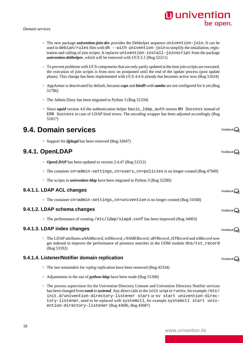#### www.univention.de

- 
- 
- The scripts in *univention-ldap* have been migrated to Python 3 [\(Bug 52280\)](https://forge.univention.org/bugzilla/show_bug.cgi?id=52280)

#### <span id="page-17-2"></span>**9.4.1.1. LDAP ACL changes**

<span id="page-17-1"></span>**9.4.1. OpenLDAP**

◦ The container cn=admin-settings,cn=univention is no longer created [\(Bug 31048\)](https://forge.univention.org/bugzilla/show_bug.cgi?id=31048)

#### <span id="page-17-3"></span>**9.4.1.2. LDAP schema changes**

<span id="page-17-0"></span>**9.4. Domain services**

◦ The performance of creating /etc/ldap/slapd.conf has been improved [\(Bug 34003](https://forge.univention.org/bugzilla/show_bug.cgi?id=34003))

#### <span id="page-17-4"></span>**9.4.1.3. LDAP index changes**

◦ The LDAP attributes *aAAARecord*, *mXRecord*, *cNAMERecord*, *sRVRecord*, *tXTRecord* and *nSRecord* now get indexed to improve the performance of presence searches in the UDM module dns/txt\_record [\(Bug 53192](https://forge.univention.org/bugzilla/show_bug.cgi?id=53192))

#### <span id="page-17-5"></span>**9.4.1.4. Listener/Notifier domain replication**

- The last remainders for *replog* replication have been removed ([Bug 42334\)](https://forge.univention.org/bugzilla/show_bug.cgi?id=42334)
- Adjustments in the use of *python-ldap* have been made ([Bug 51268\)](https://forge.univention.org/bugzilla/show_bug.cgi?id=51268)
- The process supervision for the Univention Directory Listener and Univention Directory Notifier services has been changed from *runit* to *systemd*. Any direct calls to the init script or runsv, for example /etc/ init.d/univention-directory-listener start or sv start univention-directory-listener, need to be replaced with systemctl, for example systemctl start univention-directory-listener ([Bug 43686,](https://forge.univention.org/bugzilla/show_bug.cgi?id=43686) [Bug 43687\)](https://forge.univention.org/bugzilla/show_bug.cgi?id=43687)

◦ *OpenLDAP* has been updated to version 2.4.47 ([Bug 51312](https://forge.univention.org/bugzilla/show_bug.cgi?id=51312))

- The container cn=admin-settings,cn=users,cn=policies is no longer created [\(Bug 47949\)](https://forge.univention.org/bugzilla/show_bug.cgi?id=47949)
- 

### ◦ AppArmor is deactivated by default, because *cups* and *bind9* with *samba* are not configured for it yet ([Bug](https://forge.univention.org/bugzilla/show_bug.cgi?id=51786)

*Domain services*

[51786\)](https://forge.univention.org/bugzilla/show_bug.cgi?id=51786)

*univention-debhelper*, which will be removed with UCS 5.1 [\(Bug 52211](https://forge.univention.org/bugzilla/show_bug.cgi?id=52211))

◦ The Admin Diary has been migrated to Python 3 ([Bug 51334\)](https://forge.univention.org/bugzilla/show_bug.cgi?id=51334)

◦ Support for *ifplugd* has been removed [\(Bug 32847](https://forge.univention.org/bugzilla/show_bug.cgi?id=32847))

◦ Since *squid* version 4.6 the authentication helper basic\_ldap\_auth returns BH Success instead of ERR Success in case of LDAP bind errors. The encoding wrapper has been adjusted accordingly ([Bug](https://forge.univention.org/bugzilla/show_bug.cgi?id=51817) [51817\)](https://forge.univention.org/bugzilla/show_bug.cgi?id=51817)

◦ The new package *univention-join-dev* provides the Debhelper sequence univention-join. It can be used in debian/rules files with dh --with univention-join to simplify the installation, registration and calling of join scripts. It replaces univention-install-joinscript from the package

◦ To prevent problems with UCS components that are only partly updated at the time join scripts are executed, the execution of join scripts is from now on postponed until the end of the update process (post update phase). This change has been implemented with UCS 4.4-6 already but becomes active now ([Bug 51624\)](https://forge.univention.org/bugzilla/show_bug.cgi?id=51624)

### **O** univention be open.

Feedback $\Omega$ 

Feedback $\Omega$ 

Feedback $\bigcirc$ 

Feedback $\Omega$ 

Feedback  $\Omega$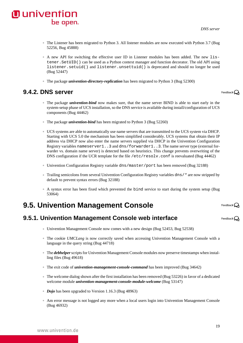

- The Listener has been migrated to Python 3. All listener modules are now executed with Python 3.7 ([Bug](https://forge.univention.org/bugzilla/show_bug.cgi?id=52256) [52256,](https://forge.univention.org/bugzilla/show_bug.cgi?id=52256) [Bug 45888\)](https://forge.univention.org/bugzilla/show_bug.cgi?id=45888)
- A new API for switching the effective user ID in Listener modules has been added. The new listener.SetUID() can be used as a Python context manager and function decorator. The old API using listener.setuid() and listener.unsettuid() is deprecated and should no longer be used [\(Bug 52447](https://forge.univention.org/bugzilla/show_bug.cgi?id=52447))
- The package *univention-directory-replication* has been migrated to Python 3 ([Bug 52300](https://forge.univention.org/bugzilla/show_bug.cgi?id=52300))

### <span id="page-18-0"></span>**9.4.2. DNS server**

- The package *univention-bind* now makes sure, that the name server BIND is able to start early in the system-setup phase of UCS installation, so the DNS service is available during install/configuration of UCS components ([Bug 44462](https://forge.univention.org/bugzilla/show_bug.cgi?id=44462))
- The package *univention-bind* has been migrated to Python 3 ([Bug 52260](https://forge.univention.org/bugzilla/show_bug.cgi?id=52260))
- UCS systems are able to automatically use name servers that are transmitted to the UCS system via DHCP. Starting with UCS 5.0 the mechanism has been simplified considerably. UCS systems that obtain their IP address via DHCP now also enter the name servers supplied via DHCP in the Univention Configuration Registry variables nameserver1..3 and dns/forwarder1..3. The name server type (external forwarder vs. domain name server) is detected based on heuristics. This change prevents overwriting of the DNS configuration if the UCR template for the file /etc/resolv.conf is reevaluated [\(Bug 44462](https://forge.univention.org/bugzilla/show_bug.cgi?id=44462))
- Univention Configuration Registry variable dns/master/port has been removed [\(Bug 32188\)](https://forge.univention.org/bugzilla/show_bug.cgi?id=32188)
- Trailing semicolons from several Univention Configuration Registry variables dns/\* are now stripped by default to prevent syntax errors [\(Bug 32188\)](https://forge.univention.org/bugzilla/show_bug.cgi?id=32188)
- A syntax error has been fixed which prevented the bind service to start during the system setup ([Bug](https://forge.univention.org/bugzilla/show_bug.cgi?id=53064) [53064\)](https://forge.univention.org/bugzilla/show_bug.cgi?id=53064)

### <span id="page-18-1"></span>**9.5. Univention Management Console**

#### <span id="page-18-2"></span>**9.5.1. Univention Management Console web interface**

- Univention Management Console now comes with a new design [\(Bug 52453](https://forge.univention.org/bugzilla/show_bug.cgi?id=52453), [Bug 52538\)](https://forge.univention.org/bugzilla/show_bug.cgi?id=52538)
- The cookie *UMCLang* is now correctly saved when accessing Univention Management Console with a language in the query string [\(Bug 44718](https://forge.univention.org/bugzilla/show_bug.cgi?id=44718))
- The *debhelper* scripts for Univention Management Console modules now preserve timestamps when installing files ([Bug 49618\)](https://forge.univention.org/bugzilla/show_bug.cgi?id=49618)
- The exit code of *univention-management-console-command* has been improved ([Bug 34642\)](https://forge.univention.org/bugzilla/show_bug.cgi?id=34642)
- The welcome dialog shown after the first installation has been removed [\(Bug 53226](https://forge.univention.org/bugzilla/show_bug.cgi?id=53226)) in favor of a dedicated welcome module *univention-management-console-module-welcome* ([Bug 53147](https://forge.univention.org/bugzilla/show_bug.cgi?id=53147))
- *Dojo* has been upgraded to Version 1.16.3 [\(Bug 48963\)](https://forge.univention.org/bugzilla/show_bug.cgi?id=48963)
- Am error message is not logged any more when a local users login into Univention Management Console [\(Bug 46932](https://forge.univention.org/bugzilla/show_bug.cgi?id=46932))

Feedback $\Omega$ 

Feedback $\Omega$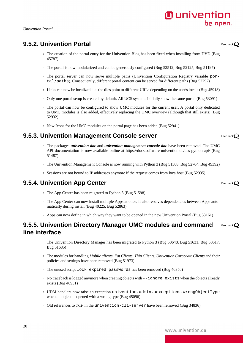#### *Univention Portal*

### <span id="page-19-0"></span>**9.5.2. Univention Portal**

- The creation of the portal entry for the [Univention Blog](https://www.univention.com/news/blog-en/) has been fixed when installing from DVD ([Bug](https://forge.univention.org/bugzilla/show_bug.cgi?id=45787) [45787\)](https://forge.univention.org/bugzilla/show_bug.cgi?id=45787)
- The portal is now modularized and can be generously configured ([Bug 52512,](https://forge.univention.org/bugzilla/show_bug.cgi?id=52512) [Bug 52125](https://forge.univention.org/bugzilla/show_bug.cgi?id=52125), [Bug 51197](https://forge.univention.org/bugzilla/show_bug.cgi?id=51197))
- The portal server can now serve multiple paths (Univention Configuration Registry variable portal/paths). Consequently, different portal content can be served for different paths ([Bug 52792\)](https://forge.univention.org/bugzilla/show_bug.cgi?id=52792)
- Links can now be localized, i.e. the tiles point to different URLs depending on the user's locale ([Bug 45918](https://forge.univention.org/bugzilla/show_bug.cgi?id=45918))
- Only one portal setup is created by default. All UCS systems initially show the same portal ([Bug 53091](https://forge.univention.org/bugzilla/show_bug.cgi?id=53091))
- The portal can now be configured to show UMC modules for the current user. A portal only dedicated to UMC modules is also added, effectively replacing the UMC overview (although that still exists) ([Bug](https://forge.univention.org/bugzilla/show_bug.cgi?id=52932) [52932\)](https://forge.univention.org/bugzilla/show_bug.cgi?id=52932)
- New Icons for the UMC modules on the portal page has been added [\(Bug 52941](https://forge.univention.org/bugzilla/show_bug.cgi?id=52941))

#### <span id="page-19-1"></span>**9.5.3. Univention Management Console server**

- The packages *univention-doc* and *univention-management-console-doc* have been removed. The UMC API documentation is now available online at <https://docs.software-univention.de/ucs-python-api/>([Bug](https://forge.univention.org/bugzilla/show_bug.cgi?id=51487) [51487\)](https://forge.univention.org/bugzilla/show_bug.cgi?id=51487)
- The Univention Management Console is now running with Python 3 [\(Bug 51508](https://forge.univention.org/bugzilla/show_bug.cgi?id=51508), [Bug 52764](https://forge.univention.org/bugzilla/show_bug.cgi?id=52764), [Bug 49392](https://forge.univention.org/bugzilla/show_bug.cgi?id=49392))
- Sessions are not bound to IP addresses anymore if the request comes from localhost ([Bug 52935\)](https://forge.univention.org/bugzilla/show_bug.cgi?id=52935)

#### <span id="page-19-2"></span>**9.5.4. Univention App Center**

- The App Center has been migrated to Python 3 ([Bug 51598](https://forge.univention.org/bugzilla/show_bug.cgi?id=51598))
- The App Center can now install multiple Apps at once. It also resolves dependencies between Apps automatically during install [\(Bug 40225](https://forge.univention.org/bugzilla/show_bug.cgi?id=40225), [Bug 52863\)](https://forge.univention.org/bugzilla/show_bug.cgi?id=52863)
- Apps can now define in which way they want to be opened in the new Univention Portal ([Bug 53161](https://forge.univention.org/bugzilla/show_bug.cgi?id=53161))

#### <span id="page-19-3"></span>**9.5.5. Univention Directory Manager UMC modules and command** Feedback  $\Omega$ **line interface**

- The Univention Directory Manager has been migrated to Python 3 [\(Bug 50648,](https://forge.univention.org/bugzilla/show_bug.cgi?id=50648) [Bug 51631,](https://forge.univention.org/bugzilla/show_bug.cgi?id=51631) [Bug 50617](https://forge.univention.org/bugzilla/show_bug.cgi?id=50617), [Bug 51685\)](https://forge.univention.org/bugzilla/show_bug.cgi?id=51685)
- The modules for handling *Mobile clients*, *Fat Clients*, *Thin Clients*, *Univention Corporate Clients* and their policies and settings have been removed ([Bug 51973](https://forge.univention.org/bugzilla/show_bug.cgi?id=51973))
- The unused script lock\_expired\_passwords has been removed ([Bug 46350\)](https://forge.univention.org/bugzilla/show_bug.cgi?id=46350)
- No traceback is logged anymore when creating objects with --ignore\_exists when the objects already exists [\(Bug 46931](https://forge.univention.org/bugzilla/show_bug.cgi?id=46931))
- UDM handlers now raise an exception univention.admin.uexceptions.wrongObjectType when an object is opened with a wrong type ([Bug 45096\)](https://forge.univention.org/bugzilla/show_bug.cgi?id=45096)
- Old references to *TCP* in the univention-cli-server have been removed ([Bug 34836](https://forge.univention.org/bugzilla/show_bug.cgi?id=34836))

### **O** univention be open.

Feedback $\mathbf{Q}$ 

Feedback $\mathbf{Q}$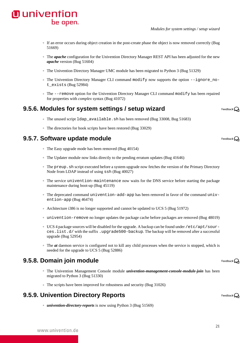- The *apache* configuration for the Univention Directory Manager REST API has been adjusted for the new *apache* version ([Bug 51604](https://forge.univention.org/bugzilla/show_bug.cgi?id=51604))
- The Univention Directory Manager UMC module has been migrated to Python 3 [\(Bug 51329](https://forge.univention.org/bugzilla/show_bug.cgi?id=51329))
- The Univention Directory Manager CLI command modify now supports the option --ignore\_not\_exists ([Bug 52984\)](https://forge.univention.org/bugzilla/show_bug.cgi?id=52984)
- The --remove option for the Univention Directory Manager CLI command modify has been repaired for properties with *complex* syntax [\(Bug 41072\)](https://forge.univention.org/bugzilla/show_bug.cgi?id=41072)

### <span id="page-20-0"></span>**9.5.6. Modules for system settings / setup wizard**

- The unused script ldap\_available.sh has been removed ([Bug 33008,](https://forge.univention.org/bugzilla/show_bug.cgi?id=33008) [Bug 51683](https://forge.univention.org/bugzilla/show_bug.cgi?id=51683))
- The directories for hook scripts have been restored ([Bug 33029\)](https://forge.univention.org/bugzilla/show_bug.cgi?id=33029)

### <span id="page-20-1"></span>**9.5.7. Software update module**

**O** univention

be open.

- The Easy upgrade mode has been removed [\(Bug 40154](https://forge.univention.org/bugzilla/show_bug.cgi?id=40154))
- The Updater module now links directly to the pending erratum updates [\(Bug 41646\)](https://forge.univention.org/bugzilla/show_bug.cgi?id=41646)
- The preup.sh script executed before a system upgrade now fetches the version of the Primary Directory Node from LDAP instead of using ssh [\(Bug 40027](https://forge.univention.org/bugzilla/show_bug.cgi?id=40027))
- The service univention-maintenance now waits for the DNS service before starting the package maintenance during boot-up [\(Bug 45119](https://forge.univention.org/bugzilla/show_bug.cgi?id=45119))
- The deprecated command univention-add-app has been removed in favor of the command univention-app ([Bug 46474\)](https://forge.univention.org/bugzilla/show_bug.cgi?id=46474)
- Architecture i386 is no longer supported and cannot be updated to UCS 5 [\(Bug 51972\)](https://forge.univention.org/bugzilla/show_bug.cgi?id=51972)
- univention-remove no longer updates the package cache before packages are removed ([Bug 48019\)](https://forge.univention.org/bugzilla/show_bug.cgi?id=48019)
- UCS 4 package sources will be disabled for the upgrade. A backup can be found under /etc/apt/sources.list.d/ with the suffix .upgrade500-backup. The backup will be removed after a successful upgrade ([Bug 52954\)](https://forge.univention.org/bugzilla/show_bug.cgi?id=52954)
- The *at* daemon service is configured not to kill any child processes when the service is stopped, which is needed for the upgrade to UCS 5 [\(Bug 52886](https://forge.univention.org/bugzilla/show_bug.cgi?id=52886))

### <span id="page-20-2"></span>**9.5.8. Domain join module**

- The Univention Management Console module *univention-management-console-module-join* has been migrated to Python 3 ([Bug 51330\)](https://forge.univention.org/bugzilla/show_bug.cgi?id=51330)
- The scripts have been improved for robustness and security [\(Bug 31026](https://forge.univention.org/bugzilla/show_bug.cgi?id=31026))

### <span id="page-20-3"></span>**9.5.9. Univention Directory Reports**

◦ *univention-directory-reports* is now using Python 3 ([Bug 51569\)](https://forge.univention.org/bugzilla/show_bug.cgi?id=51569)

Feedback $\mathbf{Q}$ 

Feedback $\Omega$ 

Feedback $\Omega$ 

Feedback $\mathbf{Q}$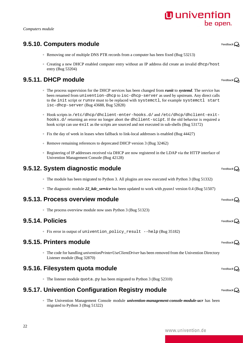#### *Computers module*

### <span id="page-21-0"></span>**9.5.10. Computers module**

- Removing one of multiple DNS PTR records from a computer has been fixed [\(Bug 53213\)](https://forge.univention.org/bugzilla/show_bug.cgi?id=53213)
- Creating a new DHCP enabled computer entry without an IP address did create an invalid dhcp/host entry [\(Bug 53204](https://forge.univention.org/bugzilla/show_bug.cgi?id=53204))

### <span id="page-21-1"></span>**9.5.11. DHCP module**

◦ The process supervision for the DHCP services has been changed from *runit* to *systemd*. The service has been renamed from univention-dhcp to isc-dhcp-server as used by upstream. Any direct calls isc-dhcp-server ([Bug 43688,](https://forge.univention.org/bugzilla/show_bug.cgi?id=43688) [Bug 52828\)](https://forge.univention.org/bugzilla/show_bug.cgi?id=52828)

#### <span id="page-21-2"></span>**9.5.12. System diagnostic module**

#### <span id="page-21-3"></span>**9.5.13. Process overview module**

#### <span id="page-21-4"></span>**9.5.14. Policies**

#### <span id="page-21-5"></span>**9.5.15. Printers module**

#### <span id="page-21-6"></span>**9.5.16. Filesystem quota module**

#### <span id="page-21-7"></span>**9.5.17. Univention Configuration Registry module**

◦ The Univention Management Console module *univention-management-console-module-ucr* has been migrated to Python 3 ([Bug 51322\)](https://forge.univention.org/bugzilla/show_bug.cgi?id=51322)



Feedback $\Omega$ 

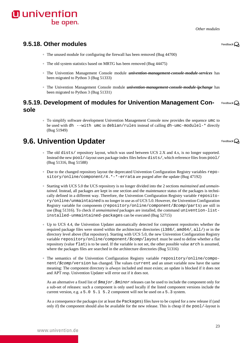*Other modules*

#### <span id="page-22-0"></span>**9.5.18. Other modules**

- The unused module for configuring the firewall has been removed ([Bug 44700\)](https://forge.univention.org/bugzilla/show_bug.cgi?id=44700)
- The old system statistics based on MRTG has been removed [\(Bug 44475\)](https://forge.univention.org/bugzilla/show_bug.cgi?id=44475)
- The Univention Management Console module *univention-management-console-module-services* has been migrated to Python 3 [\(Bug 51333](https://forge.univention.org/bugzilla/show_bug.cgi?id=51333))
- The Univention Management Console module *univention-management-console-module-ipchange* has been migrated to Python 3 [\(Bug 51331](https://forge.univention.org/bugzilla/show_bug.cgi?id=51331))

#### <span id="page-22-1"></span>**9.5.19. Development of modules for Univention Management Con-**Feedback $\mathbf{\Omega}$ **sole**

◦ To simplify software development Univention Management Console now provides the sequence umc to be used with dh  $--with$  umc in debian/rules instead of calling dh-umc-modulel- $*$  directly [\(Bug 51949](https://forge.univention.org/bugzilla/show_bug.cgi?id=51949))

### <span id="page-22-2"></span>**9.6. Univention Updater**

- The old dists/ repository layout, which was used between UCS 2.X and 4.x, is no longer supported. Instead the new pool/-layout uses package index files below dists/, which reference files from pool/ [\(Bug 51316](https://forge.univention.org/bugzilla/show_bug.cgi?id=51316), [Bug 51588](https://forge.univention.org/bugzilla/show_bug.cgi?id=51588))
- Due to the changed repository layout the deprecated Univention Configuration Registry variables repository/online/component/4.  $*-*-errata$  are purged after the update [\(Bug 47192](https://forge.univention.org/bugzilla/show_bug.cgi?id=47192))
- Starting with UCS 5.0 the UCS repository is no longer divided into the 2 sections *maintained* and *unmaintained*. Instead, all packages are kept in one section and the maintenance status of the packages is technically defined in a different way. Therefore, the Univention Configuration Registry variable repository/online/unmaintained is no longer in use as of UCS 5.0. However, the Univention Configuration Registry variable for components (repository/online/component/\$comp/parts) are still in use ([Bug 51316](https://forge.univention.org/bugzilla/show_bug.cgi?id=51316)). To check if *unmaintained* packages are installed, the command univention-listinstalled-unmaintained-packages can be executed ([Bug 52715](https://forge.univention.org/bugzilla/show_bug.cgi?id=52715))
- Up to UCS 4.4, the Univention Updater automatically detected for component repositories whether the required package files were stored within the architecture directories (i386/, amd64/, all/) or in the directory level above (flat repository). Starting with UCS 5.0, the new Univention Configuration Registry variable repository/online/component/\$comp/layout must be used to define whether a flat repository (value flat) is to be used. If the variable is not set, the other possible value arch is assumed, where the packages files are searched in the architecture directories [\(Bug 51316](https://forge.univention.org/bugzilla/show_bug.cgi?id=51316))
- The semantics of the Univention Configuration Registry variable repository/online/component/\$comp/version has changed. The values current and an unset variable now have the same meaning: The component directory is *always* included and must exists; an update is blocked if it does not and APT resp. Univention Updater will error out if it does not.

As an alternative a fixed list of  $\sin 2\pi$ .  $\sin 2\pi$  releases can be used to include the component only for a sub-set of releases: such a component is only used locally if the listed component versions include the current version, e.g. a 5.0 5.1 5.2 component will not be used on a 5.3 system.

As a consequence the packages (or at least the Packages) files have to be copied for a new release if (and only if) the component should also be available for the new release. This is cheap if the  $pood$ -layout is

Feedback $\Omega$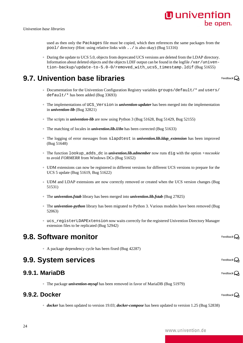Feedback $\mathbf{Q}$ 

Feedback $\mathbf{Q}$ 

Feedback $\bigcirc$ 

Feedback $\mathbf{\Omega}$ 

Feedback $\Omega$ 

used as then only the Packages file must be copied, which then references the same packages from the pool/ directory (Hint: using relative links with ../ is also okay) ([Bug 51316](https://forge.univention.org/bugzilla/show_bug.cgi?id=51316))

◦ During the update to UCS 5.0, objects from deprecated UCS versions are deleted from the LDAP directory. Information about deleted objects and the objects LDIF output can be found in the logfile /var/univention-backup/update-to-5.0-0/removed\_with\_ucs5\_timestamp.ldif ([Bug 51655\)](https://forge.univention.org/bugzilla/show_bug.cgi?id=51655)

### <span id="page-23-0"></span>**9.7. Univention base libraries**

- Documentation for the Univention Configuration Registry variables groups/default/\* and users/ default/\* has been added [\(Bug 33693](https://forge.univention.org/bugzilla/show_bug.cgi?id=33693))
- The implementations of UCS\_Version in *univention-updater* has been merged into the implementation in *univention-lib* [\(Bug 32821](https://forge.univention.org/bugzilla/show_bug.cgi?id=32821))
- The scripts in *univention-lib* are now using Python 3 ([Bug 51628,](https://forge.univention.org/bugzilla/show_bug.cgi?id=51628) [Bug 51429](https://forge.univention.org/bugzilla/show_bug.cgi?id=51429), [Bug 52155](https://forge.univention.org/bugzilla/show_bug.cgi?id=52155))
- The matching of locales in *univention.lib.i18n* has been corrected ([Bug 51633](https://forge.univention.org/bugzilla/show_bug.cgi?id=51633))
- The logging of error messages from slapdtest in *univention.lib.ldap\_extension* has been improved [\(Bug 51648](https://forge.univention.org/bugzilla/show_bug.cgi?id=51648))
- The function lookup\_adds\_dc in *univention.lib.admember* now runs dig with the option *+nocookie* to avoid *FORMERR* from Windows DCs ([Bug 51652\)](https://forge.univention.org/bugzilla/show_bug.cgi?id=51652)
- UDM extensions can now be registered in different versions for different UCS versions to prepare for the UCS 5 update ([Bug 51619,](https://forge.univention.org/bugzilla/show_bug.cgi?id=51619) [Bug 51622\)](https://forge.univention.org/bugzilla/show_bug.cgi?id=51622)
- UDM and LDAP extensions are now correctly removed or created when the UCS version changes ([Bug](https://forge.univention.org/bugzilla/show_bug.cgi?id=51531) [51531\)](https://forge.univention.org/bugzilla/show_bug.cgi?id=51531)
- The *univention.fstab* library has been merged into *univention.lib.fstab* ([Bug 27825](https://forge.univention.org/bugzilla/show_bug.cgi?id=27825))
- The *univention-python* library has been migrated to Python 3. Various modules have been removed ([Bug](https://forge.univention.org/bugzilla/show_bug.cgi?id=52063) [52063\)](https://forge.univention.org/bugzilla/show_bug.cgi?id=52063)
- ucs\_registerLDAPExtension now waits correctly for the registered Univention Directory Manager extension files to be replicated ([Bug 52942\)](https://forge.univention.org/bugzilla/show_bug.cgi?id=52942)

### <span id="page-23-1"></span>**9.8. Software monitor**

◦ A package dependency cycle has been fixed [\(Bug 42287](https://forge.univention.org/bugzilla/show_bug.cgi?id=42287))

### <span id="page-23-2"></span>**9.9. System services**

#### <span id="page-23-3"></span>**9.9.1. MariaDB**

◦ The package *univention-mysql* has been removed in favor of MariaDB [\(Bug 51979](https://forge.univention.org/bugzilla/show_bug.cgi?id=51979))

#### <span id="page-23-4"></span>**9.9.2. Docker**

◦ *docker* has been updated to version 19.03; *docker-compose* has been updated to version 1.25 [\(Bug 52838](https://forge.univention.org/bugzilla/show_bug.cgi?id=52838))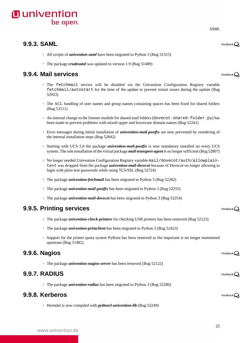### <span id="page-24-0"></span>**9.9.3. SAML**

- All scripts of *univention-saml* have been migrated to Python 3 ([Bug 51315](https://forge.univention.org/bugzilla/show_bug.cgi?id=51315))
- The package *crudesaml* was updated to version 1.9 [\(Bug 51489](https://forge.univention.org/bugzilla/show_bug.cgi?id=51489))

### <span id="page-24-1"></span>**9.9.4. Mail services**

- The fetchmail service will be disabled via the Univention Configuration Registry variable fetchmail/autostart for the time of the update to prevent restart issues during the update ([Bug](https://forge.univention.org/bugzilla/show_bug.cgi?id=52923) [52923\)](https://forge.univention.org/bugzilla/show_bug.cgi?id=52923)
- The ACL handling of user names and group names containing spaces has been fixed for shared folders [\(Bug 53111](https://forge.univention.org/bugzilla/show_bug.cgi?id=53111))
- An internal change to the listener module for shared mail folders (dovecot-shared-folder.py) has been made to prevent problems with mixed upper and lowercase domain names [\(Bug 52241](https://forge.univention.org/bugzilla/show_bug.cgi?id=52241))
- Error messages during initial installation of *univention-mail-postfix* are now prevented by reordering of the internal installation steps [\(Bug 52842](https://forge.univention.org/bugzilla/show_bug.cgi?id=52842))
- Starting with UCS 5.0 the package *univention-mail-postfix* is now mandatory installed on every UCS system. The sole installation of the virtual package *mail-transport-agent* is no longer sufficient ([Bug 52807](https://forge.univention.org/bugzilla/show_bug.cgi?id=52807))
- No longer needed Univention Configuration Registry variable mail/dovecot/auth/allowplaintext was dropped from the package *univention-mail-dovecot* because of Dovecot no longer allowing to login with plain text passwords while using TLS/SSL ([Bug 52724\)](https://forge.univention.org/bugzilla/show_bug.cgi?id=52724)
- The package *univention-fetchmail* has been migrated to Python 3 [\(Bug 52282\)](https://forge.univention.org/bugzilla/show_bug.cgi?id=52282)
- The package *univention-mail-postfix* has been migrated to Python 3 ([Bug 52255](https://forge.univention.org/bugzilla/show_bug.cgi?id=52255))
- The package *univention-mail-dovecot* has been migrated to Python 3 [\(Bug 52254](https://forge.univention.org/bugzilla/show_bug.cgi?id=52254))

### <span id="page-24-2"></span>**9.9.5. Printing services**

- The package *univention-check-printers* for checking USB printers has been removed ([Bug 52123\)](https://forge.univention.org/bugzilla/show_bug.cgi?id=52123)
- The package *univention-printclient* has been migrated to Python 3 [\(Bug 52423](https://forge.univention.org/bugzilla/show_bug.cgi?id=52423))
- Support for the printer quota system PyKota has been removed as the important is no longer maintained upstream [\(Bug 51482](https://forge.univention.org/bugzilla/show_bug.cgi?id=51482))

#### <span id="page-24-3"></span>**9.9.6. Nagios**

◦ The package *univention-nagios-server* has been removed ([Bug 52122](https://forge.univention.org/bugzilla/show_bug.cgi?id=52122))

#### <span id="page-24-4"></span>**9.9.7. RADIUS**

◦ The package *univention-radius* has been migrated to Python 3 ([Bug 52286\)](https://forge.univention.org/bugzilla/show_bug.cgi?id=52286)

### <span id="page-24-5"></span>**9.9.8. Kerberos**

◦ Heimdal is now compiled with *python3-univention-lib* [\(Bug 52249\)](https://forge.univention.org/bugzilla/show_bug.cgi?id=52249)

*SAML*

Feedback $\Omega$ 

Feedback $\Omega$ 

Feedback $\Omega$ 

Feedback $\mathbf{Q}$ 

Feedback $\Omega$ 

Feedback $\mathbf{Q}$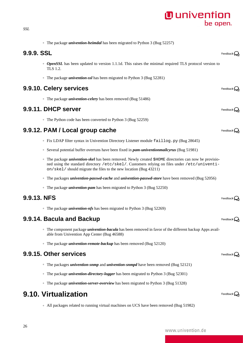ned using the standard directory /etc/skel/. Customers relying on files under /etc/univenti-

<span id="page-25-3"></span>**9.9.12. PAM / Local group cache**

◦ The packages *univention-passwd-cache* and *univention-passwd-store* have been removed [\(Bug 52056\)](https://forge.univention.org/bugzilla/show_bug.cgi?id=52056)

◦ Fix LDAP filter syntax in Univention Directory Listener module faillog.py ([Bug 28645](https://forge.univention.org/bugzilla/show_bug.cgi?id=28645))

◦ Several potential buffer overruns have been fixed in *pam-univentionmailcyrus* [\(Bug 51981](https://forge.univention.org/bugzilla/show_bug.cgi?id=51981))

◦ The package *univention-skel* has been removed. Newly created \$HOME directories can now be provisio-

◦ The package *univention-pam* has been migrated to Python 3 [\(Bug 52250](https://forge.univention.org/bugzilla/show_bug.cgi?id=52250))

on/skel/ should migrate the files to the new location [\(Bug 43211](https://forge.univention.org/bugzilla/show_bug.cgi?id=43211))

◦ The package *univention-heimdal* has been migrated to Python 3 ([Bug 52257](https://forge.univention.org/bugzilla/show_bug.cgi?id=52257))

◦ The package *univention-ssl* has been migrated to Python 3 [\(Bug 52281](https://forge.univention.org/bugzilla/show_bug.cgi?id=52281))

◦ The package *univention-celery* has been removed ([Bug 51486\)](https://forge.univention.org/bugzilla/show_bug.cgi?id=51486)

◦ The Python code has been converted to Python 3 [\(Bug 52259](https://forge.univention.org/bugzilla/show_bug.cgi?id=52259))

◦ *OpenSSL* has been updated to version 1.1.1d. This raises the minimal required TLS protocol version to

#### <span id="page-25-4"></span>**9.9.13. NFS**

◦ The package *univention-nfs* has been migrated to Python 3 [\(Bug 52269](https://forge.univention.org/bugzilla/show_bug.cgi?id=52269))

#### <span id="page-25-5"></span>**9.9.14. Bacula and Backup**

- The component package *univention-bacula* has been removed in favor of the different backup Apps available from Univention App Center ([Bug 46588\)](https://forge.univention.org/bugzilla/show_bug.cgi?id=46588)
- The package *univention-remote-backup* has been removed ([Bug 52120](https://forge.univention.org/bugzilla/show_bug.cgi?id=52120))

#### <span id="page-25-6"></span>**9.9.15. Other services**

- The packages *univention-snmp* and *univention-snmpd* have been removed [\(Bug 52121\)](https://forge.univention.org/bugzilla/show_bug.cgi?id=52121)
- The package *univention-directory-logger* has been migrated to Python 3 ([Bug 52301\)](https://forge.univention.org/bugzilla/show_bug.cgi?id=52301)
- The package *univention-server-overview* has been migrated to Python 3 ([Bug 51328](https://forge.univention.org/bugzilla/show_bug.cgi?id=51328))

### <span id="page-25-7"></span>**9.10. Virtualization**

◦ All packages related to running virtual machines on UCS have been removed ([Bug 51982\)](https://forge.univention.org/bugzilla/show_bug.cgi?id=51982)

<span id="page-25-0"></span>**9.9.9. SSL**

TLS 1.2.

<span id="page-25-1"></span>**9.9.10. Celery services**

<span id="page-25-2"></span>**9.9.11. DHCP server**

Feedback $\Omega$ 

Feedback  $\Omega$ 

Feedback $\Omega$ 

Feedback $\Omega$ 

Feedback $\Omega$ 



Feedback $\Omega$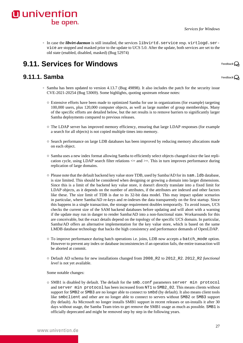◦ In case the *libvirt-daemon* is still installed, the services libvirtd.service resp. virtlogd.service are stopped and masked prior to the update to UCS 5.0. After the update, both services are set to the old state (enabled, disabled, masked) [\(Bug 52974](https://forge.univention.org/bugzilla/show_bug.cgi?id=52974))

### <span id="page-26-0"></span>**9.11. Services for Windows**

be open.

### <span id="page-26-1"></span>**9.11.1. Samba**

**O** univention

Feedback $\bigcap$ 

Feedback $\bigcirc$ 

- Samba has been updated to version 4.13.7 ([Bug 49898\)](https://forge.univention.org/bugzilla/show_bug.cgi?id=49898). It also includes the patch for the security issue CVE-2021-20254 [\(Bug 53069](https://forge.univention.org/bugzilla/show_bug.cgi?id=53069)). Some highlights, quoting upstream release notes:
	- Extensive efforts have been made to optimized Samba for use in organizations (for example) targeting 100,000 users, plus 120,000 computer objects, as well as large number of group memberships. Many of the specific efforts are detailed below, but the net results is to remove barriers to significantly larger Samba deployments compared to previous releases.
	- The LDAP server has improved memory efficiency, ensuring that large LDAP responses (for example a search for all objects) is not copied multiple times into memory.
	- Search performance on large LDB databases has been improved by reducing memory allocations made on each object.
	- Samba uses a new index format allowing Samba to efficiently select objects changed since the last replication cycle, using LDAP search filter relations  $\leq$  and  $\geq$ . This in turn improves performance during replication of large domains.
	- Please note that the default backend key value store TDB, used by Samba/AD for its sam.ldb database, is size limited. This should be considered when designing or growing a domain into larger dimensions. Since this is a limit of the backend key value store, it doesn't directly translate into a fixed limit for LDAP objects, as it depends on the number of attributes, if the attributes are indexed and other factors like these. The size limit of TDB is due to its 32-bit data model. This may impact update scenarios in particular, where Samba/AD re-keys and re-indexes the data transparently on the first startup. Since this happens in a single transaction, the storage requirement doubles temporarily. To avoid issues, UCS checks the current size of the SAM backend databases before updating and will abort with a warning if the update may run in danger to render Samba/AD into a non-functional state. Workarounds for this are conceivable, but the exact details depend on the topology of the specific UCS domain. In particular, Samba/AD offers an alternative implementation for the key value store, which is based on the same LMDB database technology that backs the high consistency and performance demands of OpenLDAP.
	- To improve performance during batch operations i.e. joins, LDB now accepts a batch\_mode option. However to prevent any index or database inconsistencies if an operation fails, the entire transaction will be aborted at commit.
	- Default AD schema for new installations changed from 2008\_R2 to 2012\_R2. 2012\_R2 *functional level* is not yet available.

Some notable changes:

○ SMB1 is disabled by default. The default for the smb.conf parameters server min protocol and server min protocol has been increased from NT1 to SMB2\_02. This means clients without support for SMB2 or SMB3 are no longer able to connect to smbd (by default). It also means client tools like smbclient and other are no longer able to connect to servers without SMB2 or SMB3 support (by default). As Microsoft no longer installs SMB1 support in recent releases or un-installs it after 30 days without usage, the Samba Team tries to get remove the SMB1 usage as much as possible. SMB1 is officially deprecated and might be removed step by step in the following years.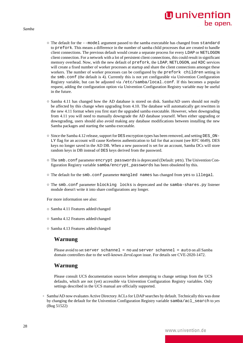*Samba*

- The default for the --model argument passed to the samba executable has changed from standard to prefork. This means a difference in the number of samba child processes that are created to handle client connections. The previous default would create a separate process for every LDAP or NETLOGON client connection. For a network with a lot of persistent client connections, this could result in significant memory overhead. Now, with the new default of prefork, the LDAP, NETLOGON, and KDC services will create a fixed number of worker processes at startup and share the client connections amongst these workers. The number of worker processes can be configured by the prefork children setting in the smb.conf (the default is 4). Currently this is not yet configurable via Univention Configuration Registry variable, but can be adjusted via /etc/samba/local.conf. If this becomes a popular request, adding the configuration option via Univention Configuration Registry variable may be useful in the future.
- Samba 4.11 has changed how the AD database is stored on disk. Samba/AD users should not really be affected by this change when upgrading from 4.10. The database will automatically get rewritten in the new 4.11 format when you first start the upgraded samba executable. However, when downgrading from 4.11 you will need to manually downgrade the AD database yourself. When either upgrading or downgrading, users should also avoid making any database modifications between installing the new Samba packages and starting the samba executable.
- Since the Samba 4.12 release, support for DES encryption types has been removed, and setting DES\_ON-LY flag for an account will cause Kerberos authentication to fail for that account (see [RFC 6649](http://tools.ietf.org/html/rfc6649)). DES keys no longer saved in the AD DB. When a new password is set for an account, Samba DCs will store random keys in DB instead of DES keys derived from the password.
- The smb.conf parameter encrypt passwords is deprecated (Default: yes). The Univention Configuration Registry variable samba/encrypt\_passwords has been obsoleted by this.
- The default for the smb.conf parameter mangled names has changed from yes to illegal.
- The smb.conf parameter blocking locks is deprecated and the samba-shares.py listener module doesn't write it into share configurations any longer.

For more information see also:

- [Samba 4.11 Features added/changed](https://wiki.samba.org/index.php/Samba_4.11_Features_added/changed#NEW_FEATURES.2FCHANGES)
- [Samba 4.12 Features added/changed](https://wiki.samba.org/index.php/Samba_4.12_Features_added/changed#NEW_FEATURES.2FCHANGES)
- [Samba 4.13 Features added/changed](https://wiki.samba.org/index.php/Samba_4.13_Features_added/changed#NEW_FEATURES.2FCHANGES)

#### **Warnung**

Please avoid to set server schannel = no and server schannel = auto on all Samba domain controllers due to the well-known *ZeroLogon* issue. For details see [CVE-2020-1472.](https://wiki.samba.org/index.php/CVE-2020-1472)

#### **Warnung**

Please consult UCS documentation sources before attempting to change settings from the UCS defaults, which are not (yet) accessible via Univention Configuration Registry variables. Only settings described in the UCS manual are officially supported.

◦ Samba/AD now evaluates Active Directory ACLs for LDAP searches by default. Technically this was done by changing the default for the Univention Configuration Registry variable samba/acl\_search to *yes* [\(Bug 51522](https://forge.univention.org/bugzilla/show_bug.cgi?id=51522))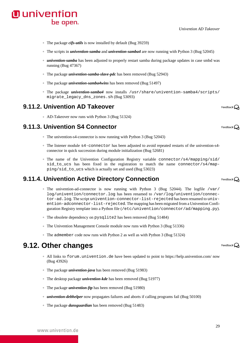#### *Univention AD Takeover*

- The package *cifs-utils* is now installed by default [\(Bug 39259\)](https://forge.univention.org/bugzilla/show_bug.cgi?id=39259)
- The scripts in *univention-samba* and *univention-samba4* are now running with Python 3 [\(Bug 52045\)](https://forge.univention.org/bugzilla/show_bug.cgi?id=52045)
- *univention-samba* has been adjusted to properly restart samba during package updates in case smbd was running ([Bug 47367\)](https://forge.univention.org/bugzilla/show_bug.cgi?id=47367)
- The package *univention-samba-slave-pdc* has been removed ([Bug 52943\)](https://forge.univention.org/bugzilla/show_bug.cgi?id=52943)
- The package *univention-samba4wins* has been removed ([Bug 51497](https://forge.univention.org/bugzilla/show_bug.cgi?id=51497))
- The package *univention-samba4* now installs /usr/share/univention-samba4/scripts/ migrate legacy dns zones.sh ([Bug 53093\)](https://forge.univention.org/bugzilla/show_bug.cgi?id=53093)

#### <span id="page-28-0"></span>**9.11.2. Univention AD Takeover**

be open.

**O** univention

◦ AD-Takeover now runs with Python 3 [\(Bug 51324](https://forge.univention.org/bugzilla/show_bug.cgi?id=51324))

#### <span id="page-28-1"></span>**9.11.3. Univention S4 Connector**

- The univention-s4-connector is now running with Python 3 [\(Bug 52043\)](https://forge.univention.org/bugzilla/show_bug.cgi?id=52043)
- The listener module s4-connector has been adjusted to avoid repeated restarts of the univention-s4 connector in quick succession during module initialization [\(Bug 52681\)](https://forge.univention.org/bugzilla/show_bug.cgi?id=52681)
- The name of the Univention Configuration Registry variable connector/s4/mapping/sid/ sid\_to\_ucs has been fixed in the registration to match the name connector/s4/mapping/sid\_to\_ucs which is actually set and used [\(Bug 53023](https://forge.univention.org/bugzilla/show_bug.cgi?id=53023))

#### <span id="page-28-2"></span>**9.11.4. Univention Active Directory Connection**

- The univention-ad-connector is now running with Python 3 [\(Bug 52044\)](https://forge.univention.org/bugzilla/show_bug.cgi?id=52044). The logfile /var/ log/univention/connector.log has been renamed to /var/log/univention/connector-ad.log. The script univention-connector-list-rejected has been renamed to univention-adconnector-list-rejected. The mapping has been migrated from a Univention Configuration Registry template into a Python file (/etc/univention/connector/ad/mapping.py).
- The obsolete dependency on pysqlite2 has been removed ([Bug 51484](https://forge.univention.org/bugzilla/show_bug.cgi?id=51484))
- The Univention Management Console module now runs with Python 3 [\(Bug 51336](https://forge.univention.org/bugzilla/show_bug.cgi?id=51336))
- The admember code now runs with Python 2 as well as with Python 3 [\(Bug 51324](https://forge.univention.org/bugzilla/show_bug.cgi?id=51324))

### <span id="page-28-3"></span>**9.12. Other changes**

- All links to forum.univention.de have been updated to point to <https://help.univention.com/> now [\(Bug 43926](https://forge.univention.org/bugzilla/show_bug.cgi?id=43926))
- The package *univention-java* has been removed ([Bug 51983\)](https://forge.univention.org/bugzilla/show_bug.cgi?id=51983)
- The desktop package *univention-kde* has been removed [\(Bug 51977\)](https://forge.univention.org/bugzilla/show_bug.cgi?id=51977)
- The package *univention-ftp* has been removed [\(Bug 51980\)](https://forge.univention.org/bugzilla/show_bug.cgi?id=51980)
- *univention-debhelper* now propagates failures and aborts if calling programs fail [\(Bug 50100](https://forge.univention.org/bugzilla/show_bug.cgi?id=50100))
- The package *dansguardian* has been removed ([Bug 51483\)](https://forge.univention.org/bugzilla/show_bug.cgi?id=51483)

Feedback $\mathbf{Q}$ 

Feedback $\Omega$ 

Feedback $\Omega$ 

Feedback $\bigcirc$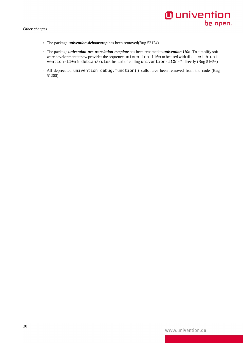- The package *univention-debootstrap* has been removed([Bug 52124\)](https://forge.univention.org/bugzilla/show_bug.cgi?id=52124)
- The package *univention-ucs-translation-template* has been renamed to *univention-l10n*. To simplify software development it now provides the sequence univention-l10n to be used with dh --with univention-l10n in debian/rules instead of calling univention-l10n-\* directly [\(Bug 51656](https://forge.univention.org/bugzilla/show_bug.cgi?id=51656))
- All deprecated univention.debug.function() calls have been removed from the code ([Bug](https://forge.univention.org/bugzilla/show_bug.cgi?id=51200) [51200\)](https://forge.univention.org/bugzilla/show_bug.cgi?id=51200)